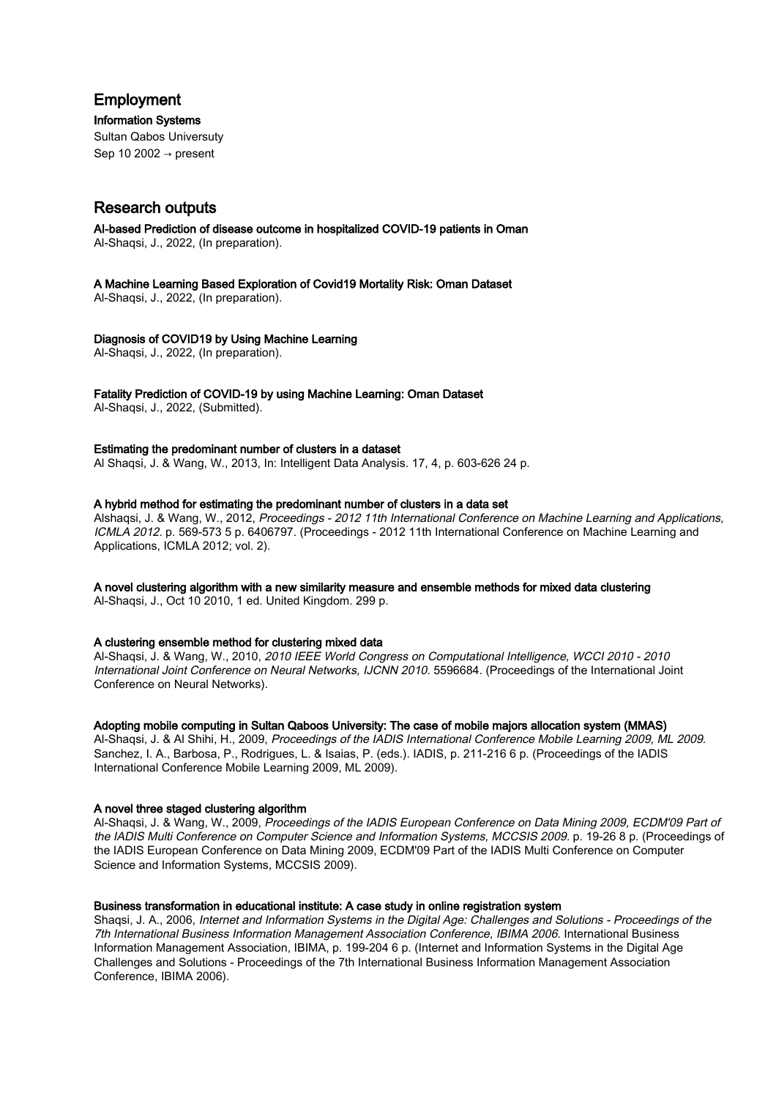# Employment

Information Systems

Sultan Qabos Universuty Sep 10 2002  $\rightarrow$  present

# Research outputs

AI-based Prediction of disease outcome in hospitalized COVID-19 patients in Oman Al-Shaqsi, J., 2022, (In preparation).

A Machine Learning Based Exploration of Covid19 Mortality Risk: Oman Dataset Al-Shaqsi, J., 2022, (In preparation).

# Diagnosis of COVID19 by Using Machine Learning

Al-Shaqsi, J., 2022, (In preparation).

Fatality Prediction of COVID-19 by using Machine Learning: Oman Dataset

Al-Shaqsi, J., 2022, (Submitted).

# Estimating the predominant number of clusters in a dataset

Al Shaqsi, J. & Wang, W., 2013, In: Intelligent Data Analysis. 17, 4, p. 603-626 24 p.

# A hybrid method for estimating the predominant number of clusters in a data set

Alshaqsi, J. & Wang, W., 2012, Proceedings - 2012 11th International Conference on Machine Learning and Applications, ICMLA 2012. p. 569-573 5 p. 6406797. (Proceedings - 2012 11th International Conference on Machine Learning and Applications, ICMLA 2012; vol. 2).

# A novel clustering algorithm with a new similarity measure and ensemble methods for mixed data clustering

Al-Shaqsi, J., Oct 10 2010, 1 ed. United Kingdom. 299 p.

#### A clustering ensemble method for clustering mixed data

Al-Shaqsi, J. & Wang, W., 2010, 2010 IEEE World Congress on Computational Intelligence, WCCI 2010 - 2010 International Joint Conference on Neural Networks, IJCNN 2010. 5596684. (Proceedings of the International Joint Conference on Neural Networks).

# Adopting mobile computing in Sultan Qaboos University: The case of mobile majors allocation system (MMAS)

Al-Shaqsi, J. & Al Shihi, H., 2009, Proceedings of the IADIS International Conference Mobile Learning 2009, ML 2009. Sanchez, I. A., Barbosa, P., Rodrigues, L. & Isaias, P. (eds.). IADIS, p. 211-216 6 p. (Proceedings of the IADIS International Conference Mobile Learning 2009, ML 2009).

# A novel three staged clustering algorithm

Al-Shaqsi, J. & Wang, W., 2009, Proceedings of the IADIS European Conference on Data Mining 2009, ECDM'09 Part of the IADIS Multi Conference on Computer Science and Information Systems, MCCSIS 2009. p. 19-26 8 p. (Proceedings of the IADIS European Conference on Data Mining 2009, ECDM'09 Part of the IADIS Multi Conference on Computer Science and Information Systems, MCCSIS 2009).

#### Business transformation in educational institute: A case study in online registration system

Shaqsi, J. A., 2006, Internet and Information Systems in the Digital Age: Challenges and Solutions - Proceedings of the 7th International Business Information Management Association Conference, IBIMA 2006. International Business Information Management Association, IBIMA, p. 199-204 6 p. (Internet and Information Systems in the Digital Age Challenges and Solutions - Proceedings of the 7th International Business Information Management Association Conference, IBIMA 2006).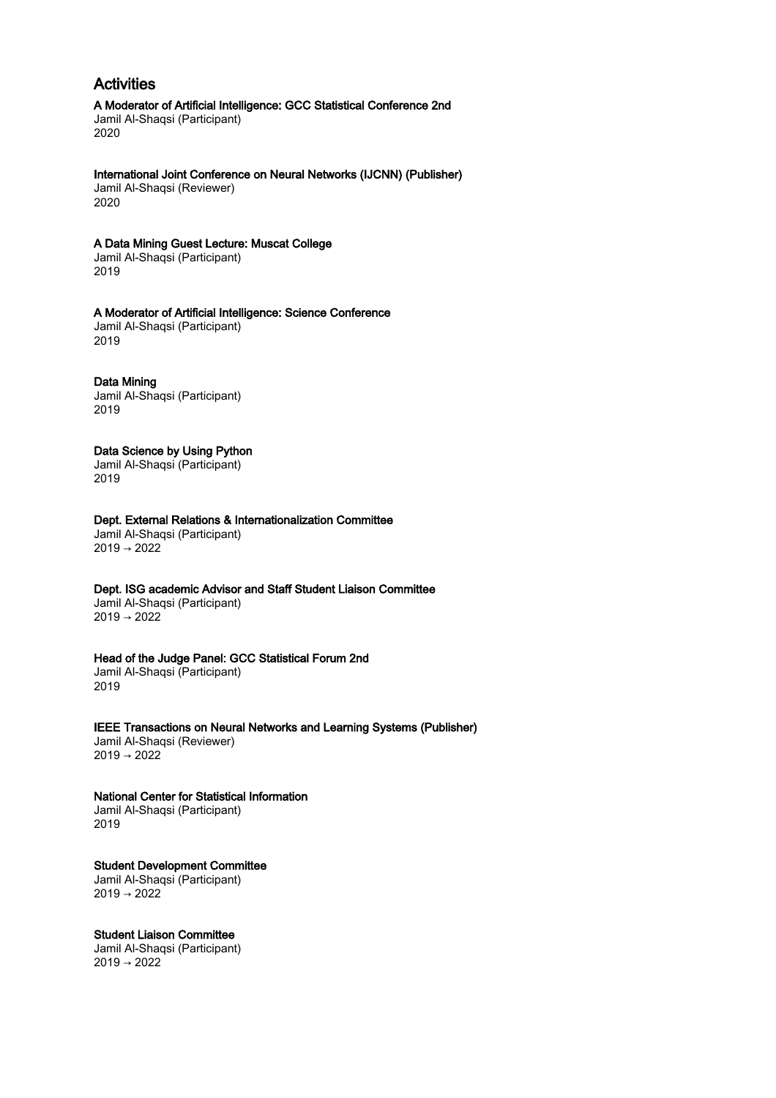# Activities

A Moderator of Artificial Intelligence: GCC Statistical Conference 2nd Jamil Al-Shaqsi (Participant) 2020

International Joint Conference on Neural Networks (IJCNN) (Publisher) Jamil Al-Shaqsi (Reviewer) 2020

# A Data Mining Guest Lecture: Muscat College

Jamil Al-Shaqsi (Participant) 2019

#### A Moderator of Artificial Intelligence: Science Conference

Jamil Al-Shaqsi (Participant) 2019

#### Data Mining

Jamil Al-Shaqsi (Participant) 2019

# Data Science by Using Python

Jamil Al-Shaqsi (Participant) 2019

Dept. External Relations & Internationalization Committee Jamil Al-Shaqsi (Participant) 2019 → 2022

#### Dept. ISG academic Advisor and Staff Student Liaison Committee

Jamil Al-Shaqsi (Participant) 2019 → 2022

#### Head of the Judge Panel: GCC Statistical Forum 2nd

Jamil Al-Shaqsi (Participant) 2019

#### IEEE Transactions on Neural Networks and Learning Systems (Publisher)

Jamil Al-Shaqsi (Reviewer)  $2019 \rightarrow 2022$ 

# National Center for Statistical Information Jamil Al-Shaqsi (Participant)

2019

#### Student Development Committee Jamil Al-Shaqsi (Participant)  $2019 \rightarrow 2022$

Student Liaison Committee

Jamil Al-Shaqsi (Participant) 2019 → 2022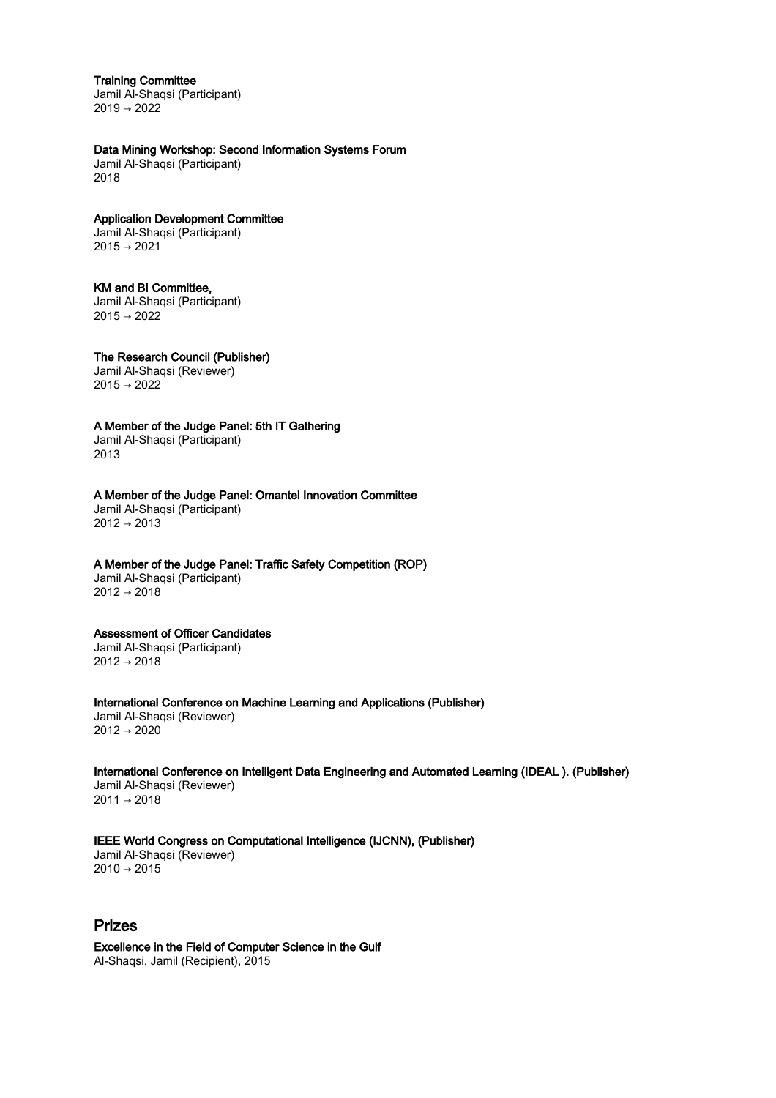#### Training Committee

Jamil Al-Shaqsi (Participant) 2019 → 2022

# Data Mining Workshop: Second Information Systems Forum

Jamil Al-Shaqsi (Participant) 2018

#### Application Development Committee

Jamil Al-Shaqsi (Participant) 2015 → 2021

#### KM and BI Committee,

Jamil Al-Shaqsi (Participant)  $2015 \rightarrow 2022$ 

The Research Council (Publisher) Jamil Al-Shaqsi (Reviewer)

 $2015 \rightarrow 2022$ 

A Member of the Judge Panel: 5th IT Gathering Jamil Al-Shaqsi (Participant)

2013

# A Member of the Judge Panel: Omantel Innovation Committee

Jamil Al-Shaqsi (Participant)  $2012 \rightarrow 2013$ 

# A Member of the Judge Panel: Traffic Safety Competition (ROP)

Jamil Al-Shaqsi (Participant)  $2012 \rightarrow 2018$ 

#### Assessment of Officer Candidates

Jamil Al-Shaqsi (Participant) 2012 → 2018

International Conference on Machine Learning and Applications (Publisher) Jamil Al-Shaqsi (Reviewer) 2012 → 2020

International Conference on Intelligent Data Engineering and Automated Learning (IDEAL ). (Publisher) Jamil Al-Shaqsi (Reviewer) 2011 → 2018

# IEEE World Congress on Computational Intelligence (IJCNN), (Publisher)

Jamil Al-Shaqsi (Reviewer)  $2010 \rightarrow 2015$ 

# Prizes

Excellence in the Field of Computer Science in the Gulf Al-Shaqsi, Jamil (Recipient), 2015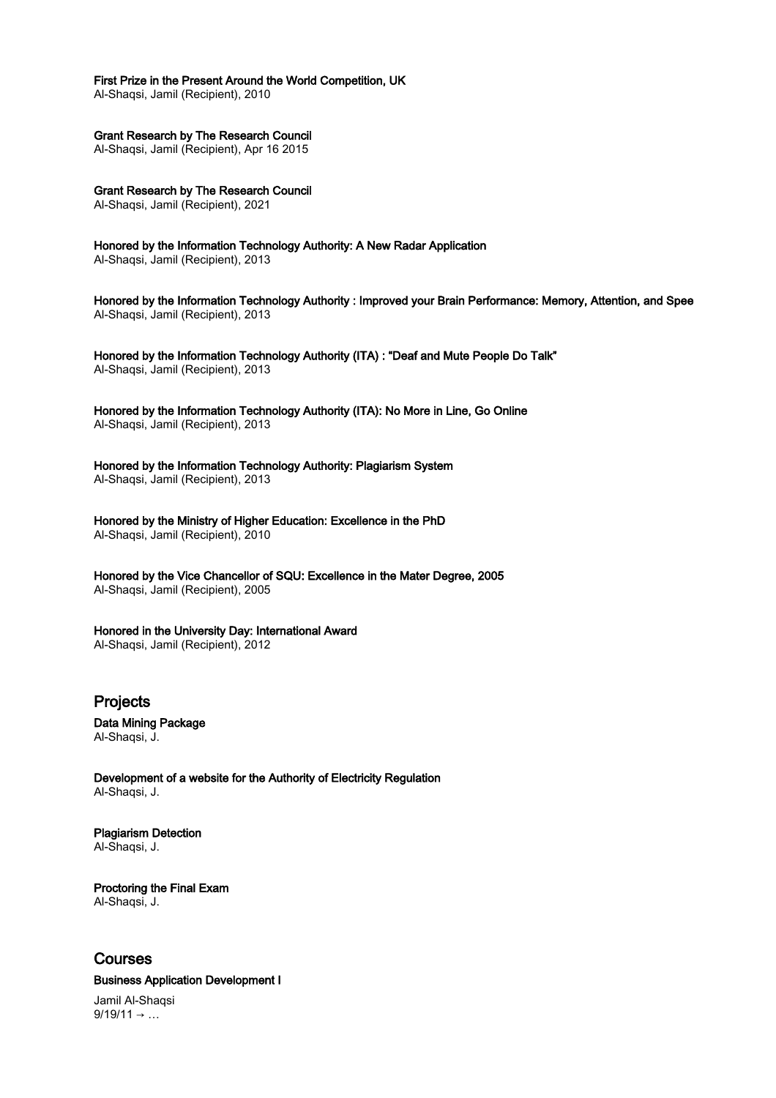# First Prize in the Present Around the World Competition, UK

Al-Shaqsi, Jamil (Recipient), 2010

Grant Research by The Research Council

Al-Shaqsi, Jamil (Recipient), Apr 16 2015

Grant Research by The Research Council Al-Shaqsi, Jamil (Recipient), 2021

Honored by the Information Technology Authority: A New Radar Application Al-Shaqsi, Jamil (Recipient), 2013

Honored by the Information Technology Authority : Improved your Brain Performance: Memory, Attention, and Spee Al-Shaqsi, Jamil (Recipient), 2013

Honored by the Information Technology Authority (ITA) : "Deaf and Mute People Do Talk" Al-Shaqsi, Jamil (Recipient), 2013

Honored by the Information Technology Authority (ITA): No More in Line, Go Online Al-Shaqsi, Jamil (Recipient), 2013

Honored by the Information Technology Authority: Plagiarism System Al-Shaqsi, Jamil (Recipient), 2013

Honored by the Ministry of Higher Education: Excellence in the PhD Al-Shaqsi, Jamil (Recipient), 2010

Honored by the Vice Chancellor of SQU: Excellence in the Mater Degree, 2005 Al-Shaqsi, Jamil (Recipient), 2005

Honored in the University Day: International Award Al-Shaqsi, Jamil (Recipient), 2012

Projects

Data Mining Package Al-Shaqsi, J.

Development of a website for the Authority of Electricity Regulation Al-Shaqsi, J.

Plagiarism Detection Al-Shaqsi, J.

Proctoring the Final Exam Al-Shaqsi, J.

# Courses

# Business Application Development I

Jamil Al-Shaqsi  $9/19/11 \rightarrow ...$